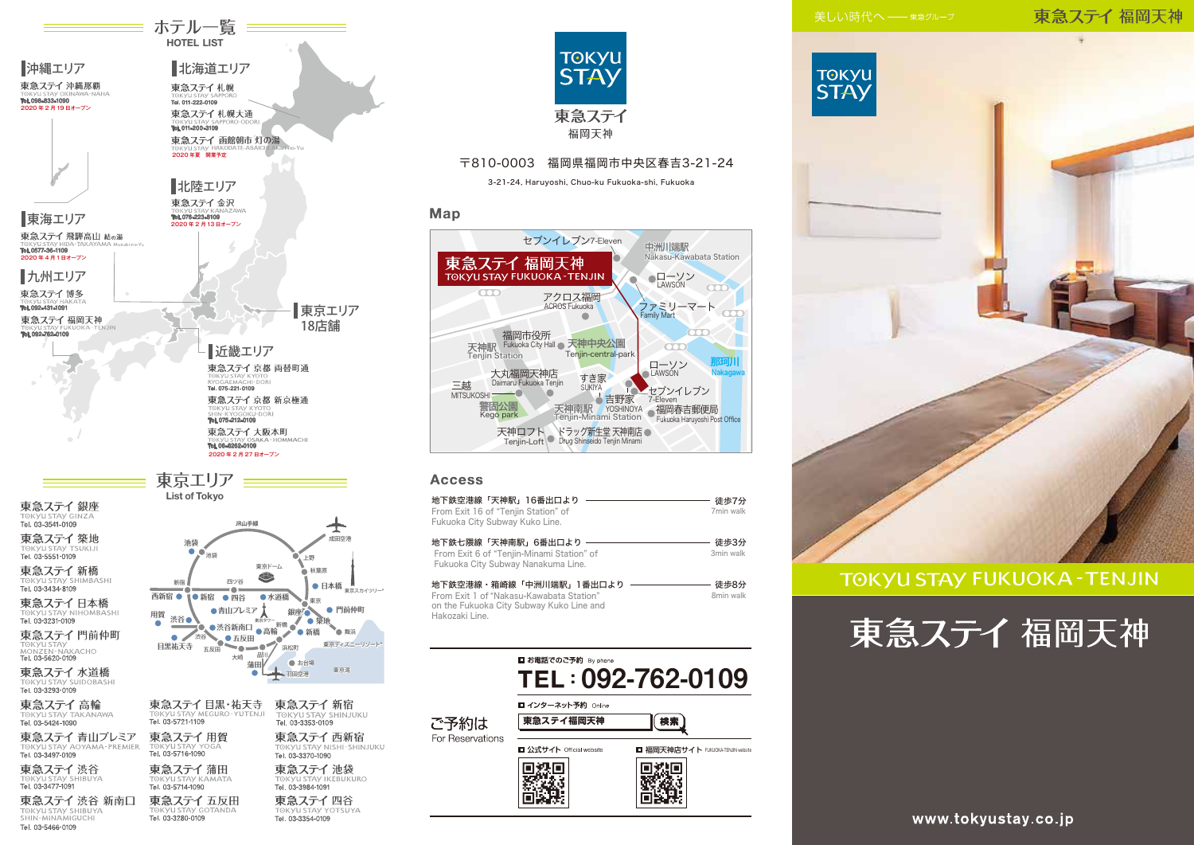# 東急ステイ福岡天神



# **TOKYU STAY FUKUOKA - TENJIN**







### 〒810-0003 福岡県福岡市中央区春吉3-21-24

3-21-24, Haruyoshi, Chuo-ku Fukuoka-shi, Fukuoka

### Map



### **Access**

| 地下鉄空港線「天神駅」16番出口より<br>From Exit 16 of "Tenjin Station" of<br>Fukuoka City Subway Kuko Line.                                       | 徒歩7分<br>7min walk |
|-----------------------------------------------------------------------------------------------------------------------------------|-------------------|
| 地下鉄七隈線「天神南駅」6番出口より<br>From Exit 6 of "Tenjin-Minami Station" of<br>Fukuoka City Subway Nanakuma Line.                             | 徒歩3分<br>3min walk |
| 地下鉄空港線・箱崎線「中洲川端駅」1番出口より<br>From Exit 1 of "Nakasu-Kawabata Station"<br>on the Fukuoka City Subway Kuko Line and<br>Hakozaki Line. | 徒歩8分<br>8min walk |